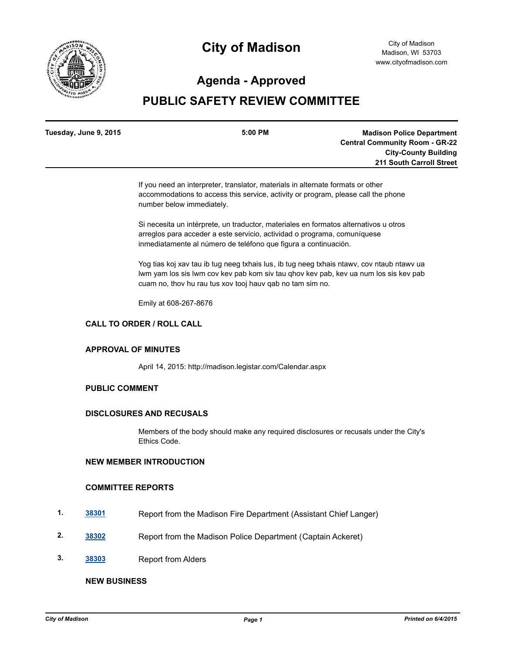

# **City of Madison**

# **Agenda - Approved**

# **PUBLIC SAFETY REVIEW COMMITTEE**

| <b>Madison Police Department</b>      |
|---------------------------------------|
| <b>Central Community Room - GR-22</b> |
| <b>City-County Building</b>           |
| 211 South Carroll Street              |
|                                       |

If you need an interpreter, translator, materials in alternate formats or other accommodations to access this service, activity or program, please call the phone number below immediately.

Si necesita un intérprete, un traductor, materiales en formatos alternativos u otros arreglos para acceder a este servicio, actividad o programa, comuníquese inmediatamente al número de teléfono que figura a continuación.

Yog tias koj xav tau ib tug neeg txhais lus, ib tug neeg txhais ntawv, cov ntaub ntawv ua lwm yam los sis lwm cov kev pab kom siv tau qhov kev pab, kev ua num los sis kev pab cuam no, thov hu rau tus xov tooj hauv qab no tam sim no.

Emily at 608-267-8676

### **CALL TO ORDER / ROLL CALL**

#### **APPROVAL OF MINUTES**

April 14, 2015: http://madison.legistar.com/Calendar.aspx

## **PUBLIC COMMENT**

#### **DISCLOSURES AND RECUSALS**

Members of the body should make any required disclosures or recusals under the City's Ethics Code.

## **NEW MEMBER INTRODUCTION**

#### **COMMITTEE REPORTS**

- **1. [38301](http://madison.legistar.com/gateway.aspx?m=l&id=/matter.aspx?key=40994)** Report from the Madison Fire Department (Assistant Chief Langer)
- **2. [38302](http://madison.legistar.com/gateway.aspx?m=l&id=/matter.aspx?key=40995)** Report from the Madison Police Department (Captain Ackeret)
- **3. [38303](http://madison.legistar.com/gateway.aspx?m=l&id=/matter.aspx?key=40996)** Report from Alders

#### **NEW BUSINESS**